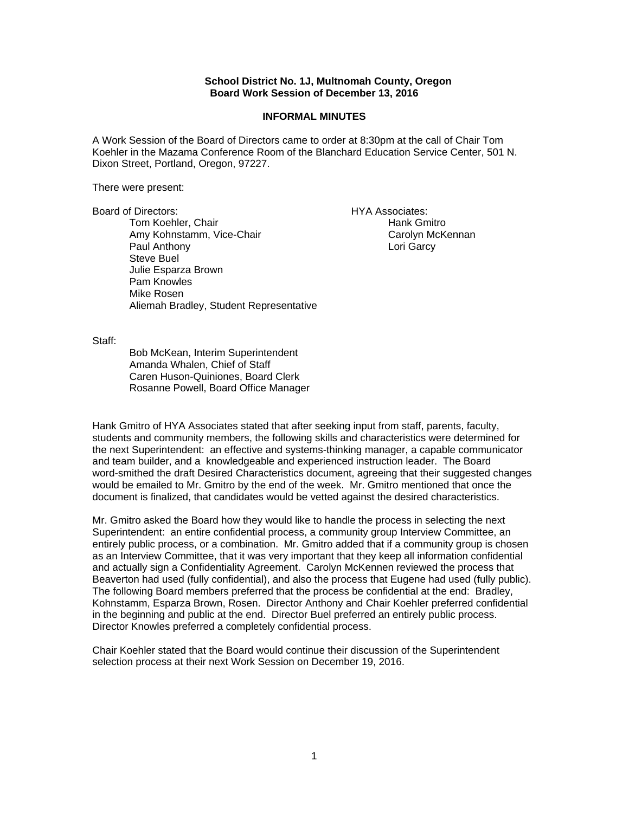## **School District No. 1J, Multnomah County, Oregon Board Work Session of December 13, 2016**

## **INFORMAL MINUTES**

A Work Session of the Board of Directors came to order at 8:30pm at the call of Chair Tom Koehler in the Mazama Conference Room of the Blanchard Education Service Center, 501 N. Dixon Street, Portland, Oregon, 97227.

There were present:

Board of Directors: HYA Associates:

Tom Koehler, Chair **Hank Gmitro** Hank Gmitro Amy Kohnstamm, Vice-Chair Carolyn McKennan Paul Anthony **Lori Garcy** Steve Buel Julie Esparza Brown Pam Knowles Mike Rosen Aliemah Bradley, Student Representative

Staff:

 Bob McKean, Interim Superintendent Amanda Whalen, Chief of Staff Caren Huson-Quiniones, Board Clerk Rosanne Powell, Board Office Manager

Hank Gmitro of HYA Associates stated that after seeking input from staff, parents, faculty, students and community members, the following skills and characteristics were determined for the next Superintendent: an effective and systems-thinking manager, a capable communicator and team builder, and a knowledgeable and experienced instruction leader. The Board word-smithed the draft Desired Characteristics document, agreeing that their suggested changes would be emailed to Mr. Gmitro by the end of the week. Mr. Gmitro mentioned that once the document is finalized, that candidates would be vetted against the desired characteristics.

Mr. Gmitro asked the Board how they would like to handle the process in selecting the next Superintendent: an entire confidential process, a community group Interview Committee, an entirely public process, or a combination. Mr. Gmitro added that if a community group is chosen as an Interview Committee, that it was very important that they keep all information confidential and actually sign a Confidentiality Agreement. Carolyn McKennen reviewed the process that Beaverton had used (fully confidential), and also the process that Eugene had used (fully public). The following Board members preferred that the process be confidential at the end: Bradley, Kohnstamm, Esparza Brown, Rosen. Director Anthony and Chair Koehler preferred confidential in the beginning and public at the end. Director Buel preferred an entirely public process. Director Knowles preferred a completely confidential process.

Chair Koehler stated that the Board would continue their discussion of the Superintendent selection process at their next Work Session on December 19, 2016.